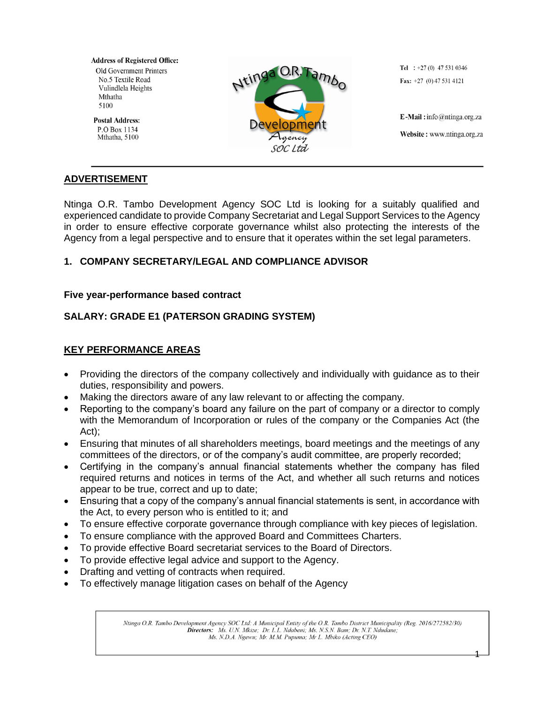**Address of Registered Office: Old Government Printers** No.5 Textile Road Vulindlela Heights Mthatha 5100

**Postal Address:** P.O Box 1134 Mthatha, 5100



Tel :  $+27(0)$  47 531 0346 Fax:  $+27$  (0) 47 531 4121

E-Mail: info@ntinga.org.za Website: www.ntinga.org.za

# **ADVERTISEMENT**

Ntinga O.R. Tambo Development Agency SOC Ltd is looking for a suitably qualified and experienced candidate to provide Company Secretariat and Legal Support Services to the Agency in order to ensure effective corporate governance whilst also protecting the interests of the Agency from a legal perspective and to ensure that it operates within the set legal parameters.

# **1. COMPANY SECRETARY/LEGAL AND COMPLIANCE ADVISOR**

## **Five year-performance based contract**

# **SALARY: GRADE E1 (PATERSON GRADING SYSTEM)**

# **KEY PERFORMANCE AREAS**

- Providing the directors of the company collectively and individually with guidance as to their duties, responsibility and powers.
- Making the directors aware of any law relevant to or affecting the company.
- Reporting to the company's board any failure on the part of company or a director to comply with the Memorandum of Incorporation or rules of the company or the Companies Act (the Act);
- Ensuring that minutes of all shareholders meetings, board meetings and the meetings of any committees of the directors, or of the company's audit committee, are properly recorded;
- Certifying in the company's annual financial statements whether the company has filed required returns and notices in terms of the Act, and whether all such returns and notices appear to be true, correct and up to date;
- Ensuring that a copy of the company's annual financial statements is sent, in accordance with the Act, to every person who is entitled to it; and
- To ensure effective corporate governance through compliance with key pieces of legislation.
- To ensure compliance with the approved Board and Committees Charters.
- To provide effective Board secretariat services to the Board of Directors.
- To provide effective legal advice and support to the Agency.
- Drafting and vetting of contracts when required.
- To effectively manage litigation cases on behalf of the Agency

Ntinga O.R. Tambo Development Agency SOC Ltd: A Municipal Entity of the O.R. Tambo District Municipality (Reg. 2016/272582/30) Directors: Ms. U.N. Mkize; Dr. L.L. Ndabeni; Ms. N.S.N. Bam; Dr. N.T. Ndudane; Ms. N.D.A. Ngewu; Mr. M.M. Pupuma; Mr L. Mbiko (Acting CEO)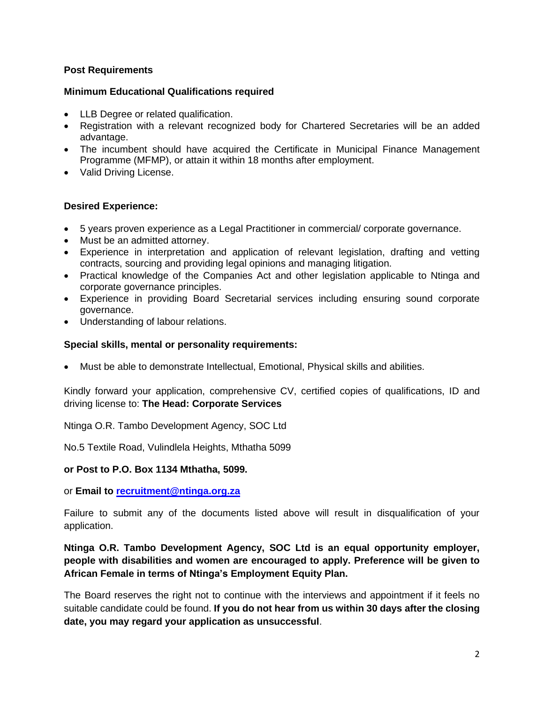## **Post Requirements**

#### **Minimum Educational Qualifications required**

- LLB Degree or related qualification.
- Registration with a relevant recognized body for Chartered Secretaries will be an added advantage.
- The incumbent should have acquired the Certificate in Municipal Finance Management Programme (MFMP), or attain it within 18 months after employment.
- Valid Driving License.

## **Desired Experience:**

- 5 years proven experience as a Legal Practitioner in commercial/ corporate governance.
- Must be an admitted attorney.
- Experience in interpretation and application of relevant legislation, drafting and vetting contracts, sourcing and providing legal opinions and managing litigation.
- Practical knowledge of the Companies Act and other legislation applicable to Ntinga and corporate governance principles.
- Experience in providing Board Secretarial services including ensuring sound corporate governance.
- Understanding of labour relations.

## **Special skills, mental or personality requirements:**

• Must be able to demonstrate Intellectual, Emotional, Physical skills and abilities.

Kindly forward your application, comprehensive CV, certified copies of qualifications, ID and driving license to: **The Head: Corporate Services**

Ntinga O.R. Tambo Development Agency, SOC Ltd

No.5 Textile Road, Vulindlela Heights, Mthatha 5099

#### **or Post to P.O. Box 1134 Mthatha, 5099.**

or **Email to [recruitment@ntinga.org.za](mailto:recruitment@ntinga.org.za)**

Failure to submit any of the documents listed above will result in disqualification of your application.

# **Ntinga O.R. Tambo Development Agency, SOC Ltd is an equal opportunity employer, people with disabilities and women are encouraged to apply. Preference will be given to African Female in terms of Ntinga's Employment Equity Plan.**

The Board reserves the right not to continue with the interviews and appointment if it feels no suitable candidate could be found. **If you do not hear from us within 30 days after the closing date, you may regard your application as unsuccessful**.